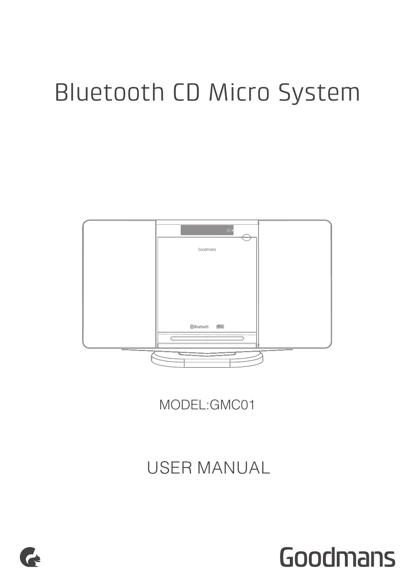# Bluetooth CD Micro System



MODEL:GMC01

USER MANUAL



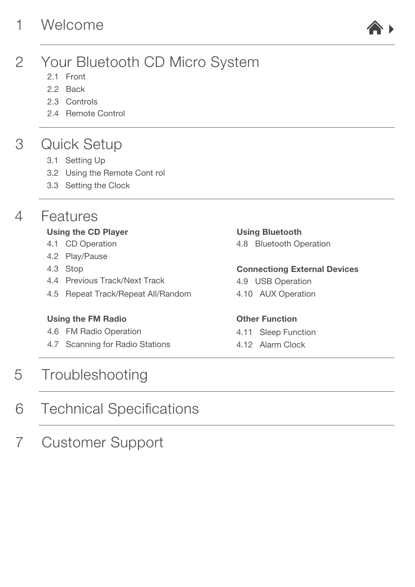# 1 [Welcome](#page-2-0)



### $\mathcal{P}$ [Your Bluetooth CD Micro System](#page-2-0)

- [2.1 Front](#page-2-0)
- [2.2 Back](#page-3-0)
- [2.3 Controls](#page-3-0)
- [2.4 Remote Control](#page-4-0)

### 3 [Quick Setup](#page-5-0)

- [3.1 Setting Up](#page-5-0)
- [3.2 Using the Remote Cont rol](#page-5-0)
- [3.3 Setting the Clock](#page-5-0)

### $\Delta$ [Features](#page-6-0)

# [Using the CD Player](#page-6-0)

- [4.1 CD Operation](#page-6-0)
- [4.2 Play/Pause](#page-6-0)
- [4.3 Stop](#page-6-0)
- [4.4 Previous Track/Next Track](#page-6-0)
- [4.5 Repeat Track/Repeat All/Random](#page-6-0)

# [Using the FM Radio](#page-7-0)

- [4.6 FM Radio Operation](#page-7-0)
- [4.7 Scanning for Radio Stations](#page-7-0)

### 5 **[Troubleshooting](#page-11-0)**

### 6 [Technical Specifications](#page-12-0)

7 [Customer Support](#page-12-0)

## [Using Bluetooth](#page-8-0)

[4.8 Bluetooth Operation](#page-8-0)

# [Connectiong External Devices](#page-9-0)

- [4.9 USB Operation](#page-9-0)
- [4.10 AUX Operation](#page-9-0)

# [Other Function](#page-10-0)

- [4.11 Sleep Function](#page-10-0)
- [4.12 Alarm Clock](#page-10-0)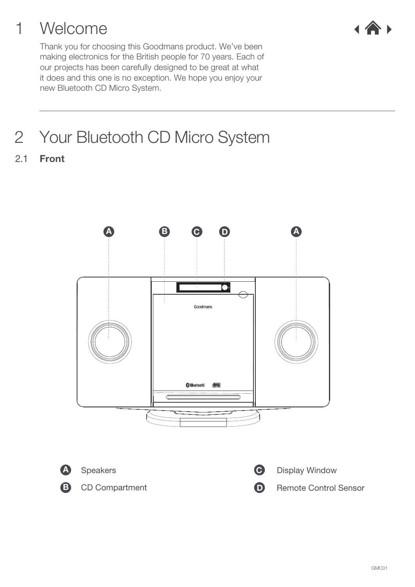# <span id="page-2-0"></span>1 Welcome



Thank you for choosing this Goodmans product. We've been making electronics for the British people for 70 years. Each of our projects has been carefully designed to be great at what it does and this one is no exception. We hope you enjoy your new Bluetooth CD Micro System.

# 2 Your Bluetooth CD Micro System

2.1 Front









Speakers **Display Window C** Display Window

CD Compartment **D** Remote Control Sensor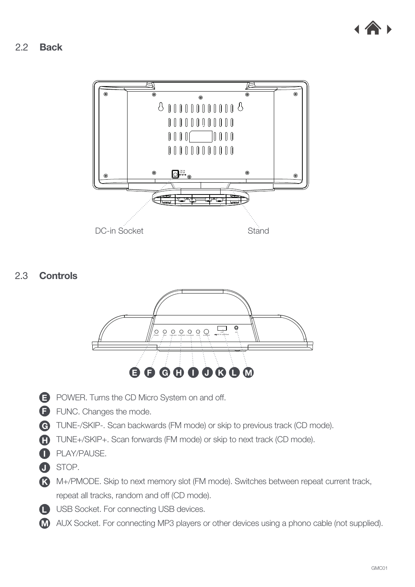

<span id="page-3-0"></span>2.2 Back



2.3 Controls



- **E** POWER. Turns the CD Micro System on and off.
- **F** FUNC. Changes the mode.
- G TUNE-/SKIP-. Scan backwards (FM mode) or skip to previous track (CD mode).
- H TUNE+/SKIP+. Scan forwards (FM mode) or skip to next track (CD mode).
- I PLAY/PAUSE.
- J STOP.
- K M+/PMODE. Skip to next memory slot (FM mode). Switches between repeat current track, repeat all tracks, random and off (CD mode).
- **L** USB Socket. For connecting USB devices.
- M AUX Socket. For connecting MP3 players or other devices using a phono cable (not supplied).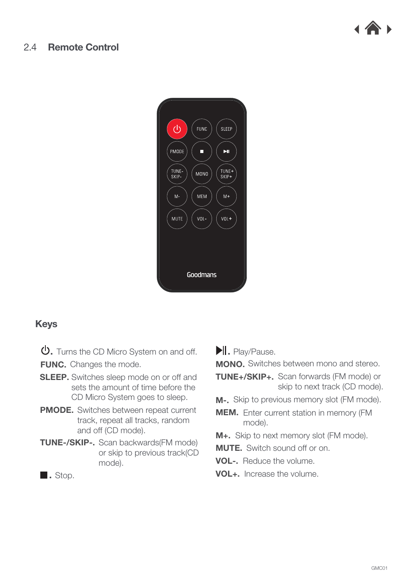<span id="page-4-0"></span>





## Keys

- . Turns the CD Micro System on and off.
- FUNC. Changes the mode.
- **SLEEP.** Switches sleep mode on or off and sets the amount of time before the CD Micro System goes to sleep.
- PMODE. Switches between repeat current track, repeat all tracks, random and off (CD mode).
- TUNE-/SKIP-. Scan backwards(FM mode) or skip to previous track(CD mode).

. Play/Pause.

MONO. Switches between mono and stereo.

- TUNE+/SKIP+. Scan forwards (FM mode) or skip to next track (CD mode).
- **M-.** Skip to previous memory slot (FM mode).
- **MEM.** Enter current station in memory (FM mode).
- M+. Skip to next memory slot (FM mode).
- MUTE. Switch sound off or on.
- VOL-. Reduce the volume.
- VOL+. Increase the volume.

. Stop.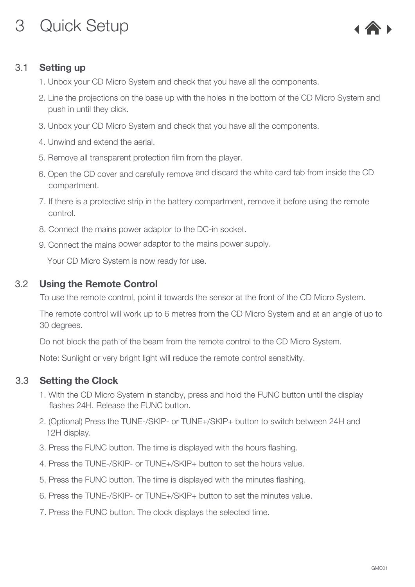# <span id="page-5-0"></span>3 Quick Setup



# 3.1 Setting up

- 1. Unbox your CD Micro System and check that you have all the components.
- 2. Line the projections on the base up with the holes in the bottom of the CD Micro System and push in until they click.
- 3. Unbox your CD Micro System and check that you have all the components.
- 4. Unwind and extend the aerial.
- 5. Remove all transparent protection film from the player.
- 6. Open the CD cover and carefully remove and discard the white card tab from inside the CD compartment.
- 7. If there is a protective strip in the battery compartment, remove it before using the remote control.
- 8. Connect the mains power adaptor to the DC-in socket.
- 9. Connect the mains power adaptor to the mains power supply.

Your CD Micro System is now ready for use.

## 3.2 Using the Remote Control

To use the remote control, point it towards the sensor at the front of the CD Micro System.

The remote control will work up to 6 metres from the CD Micro System and at an angle of up to 30 degrees.

Do not block the path of the beam from the remote control to the CD Micro System.

Note: Sunlight or very bright light will reduce the remote control sensitivity.

# 3.3 Setting the Clock

- 1. With the CD Micro System in standby, press and hold the FUNC button until the display flashes 24H. Release the FUNC button.
- 2. (Optional) Press the TUNE-/SKIP- or TUNE+/SKIP+ button to switch between 24H and 12H display.
- 3. Press the FUNC button. The time is displayed with the hours flashing.
- 4. Press the TUNE-/SKIP- or TUNE+/SKIP+ button to set the hours value.
- 5. Press the FUNC button. The time is displayed with the minutes flashing.
- 6. Press the TUNE-/SKIP- or TUNE+/SKIP+ button to set the minutes value.
- 7. Press the FUNC button. The clock displays the selected time.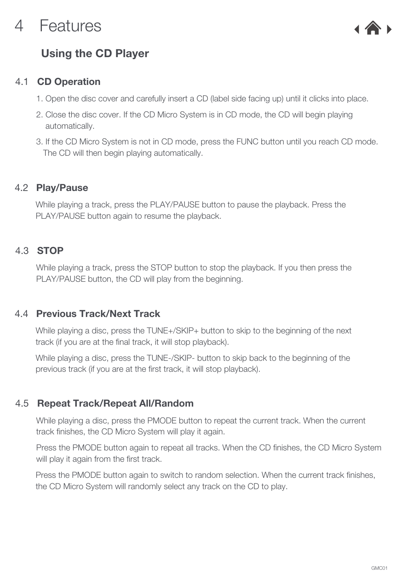# <span id="page-6-0"></span>4 Features



# Using the CD Player

#### CD Operation 4.1

- 1. Open the disc cover and carefully insert a CD (label side facing up) until it clicks into place.
- 2. Close the disc cover. If the CD Micro System is in CD mode, the CD will begin playing automatically.
- 3. If the CD Micro System is not in CD mode, press the FUNC button until you reach CD mode. The CD will then begin playing automatically.

## 4.2 Play/Pause

While playing a track, press the PLAY/PAUSE button to pause the playback. Press the PLAY/PAUSE button again to resume the playback.

# 4.3 **STOP**

While playing a track, press the STOP button to stop the playback. If you then press the PLAY/PAUSE button, the CD will play from the beginning.

## 4.4 Previous Track/Next Track

While playing a disc, press the TUNE+/SKIP+ button to skip to the beginning of the next track (if you are at the final track, it will stop playback).

While playing a disc, press the TUNE-/SKIP- button to skip back to the beginning of the previous track (if you are at the first track, it will stop playback).

# 4.5 Repeat Track/Repeat All/Random

While playing a disc, press the PMODE button to repeat the current track. When the current track finishes, the CD Micro System will play it again.

Press the PMODE button again to repeat all tracks. When the CD finishes, the CD Micro System will play it again from the first track.

Press the PMODE button again to switch to random selection. When the current track finishes, the CD Micro System will randomly select any track on the CD to play.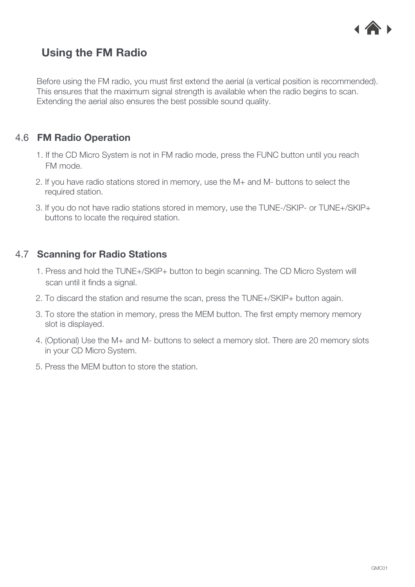

# <span id="page-7-0"></span>Using the FM Radio

Before using the FM radio, you must first extend the aerial (a vertical position is recommended). This ensures that the maximum signal strength is available when the radio begins to scan. Extending the aerial also ensures the best possible sound quality.

# 4.6 FM Radio Operation

- 1. If the CD Micro System is not in FM radio mode, press the FUNC button until you reach FM mode.
- 2. If you have radio stations stored in memory, use the M+ and M- buttons to select the required station.
- 3. If you do not have radio stations stored in memory, use the TUNE-/SKIP- or TUNE+/SKIP+ buttons to locate the required station.

## 4.7 Scanning for Radio Stations

- 1. Press and hold the TUNE+/SKIP+ button to begin scanning. The CD Micro System will scan until it finds a signal.
- 2. To discard the station and resume the scan, press the TUNE+/SKIP+ button again.
- 3. To store the station in memory, press the MEM button. The first empty memory memory slot is displayed.
- 4. (Optional) Use the M+ and M- buttons to select a memory slot. There are 20 memory slots in your CD Micro System.
- 5. Press the MEM button to store the station.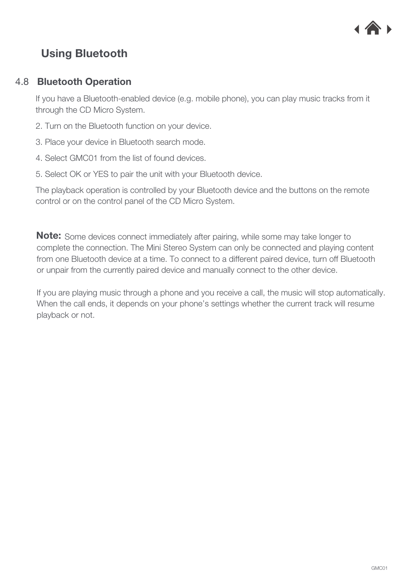

# <span id="page-8-0"></span>Using Bluetooth

#### Bluetooth Operation 4.8

If you have a Bluetooth-enabled device (e.g. mobile phone), you can play music tracks from it through the CD Micro System.

- 2. Turn on the Bluetooth function on your device.
- 3. Place your device in Bluetooth search mode.
- 4. Select GMC01 from the list of found devices.
- 5. Select OK or YES to pair the unit with your Bluetooth device.

The playback operation is controlled by your Bluetooth device and the buttons on the remote control or on the control panel of the CD Micro System.

**Note:** Some devices connect immediately after pairing, while some may take longer to complete the connection. The Mini Stereo System can only be connected and playing content from one Bluetooth device at a time. To connect to a different paired device, turn off Bluetooth or unpair from the currently paired device and manually connect to the other device.

If you are playing music through a phone and you receive a call, the music will stop automatically. When the call ends, it depends on your phone's settings whether the current track will resume playback or not.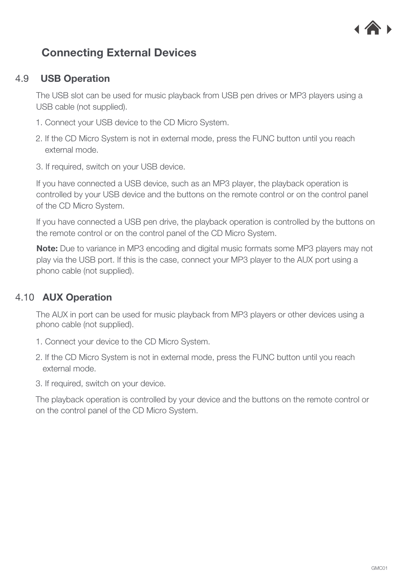

# <span id="page-9-0"></span>Connecting External Devices

#### USB Operation 4.9

The USB slot can be used for music playback from USB pen drives or MP3 players using a USB cable (not supplied).

- 1. Connect your USB device to the CD Micro System.
- 2. If the CD Micro System is not in external mode, press the FUNC button until you reach external mode.
- 3. If required, switch on your USB device.

If you have connected a USB device, such as an MP3 player, the playback operation is controlled by your USB device and the buttons on the remote control or on the control panel of the CD Micro System.

If you have connected a USB pen drive, the playback operation is controlled by the buttons on the remote control or on the control panel of the CD Micro System.

Note: Due to variance in MP3 encoding and digital music formats some MP3 players may not play via the USB port. If this is the case, connect your MP3 player to the AUX port using a phono cable (not supplied).

# 4.10 AUX Operation

The AUX in port can be used for music playback from MP3 players or other devices using a phono cable (not supplied).

- 1. Connect your device to the CD Micro System.
- 2. If the CD Micro System is not in external mode, press the FUNC button until you reach external mode.
- 3. If required, switch on your device.

The playback operation is controlled by your device and the buttons on the remote control or on the control panel of the CD Micro System.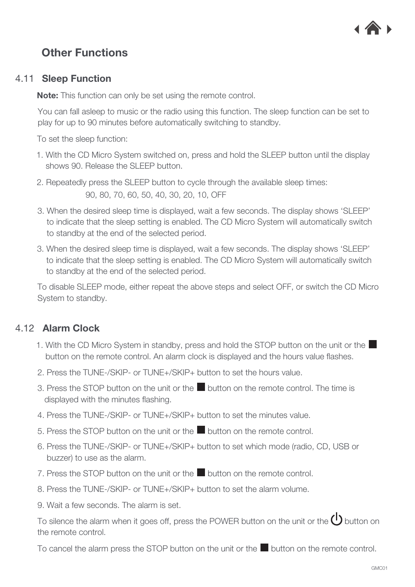

# <span id="page-10-0"></span>Other Functions

### 4.11 Sleep Function

Note: This function can only be set using the remote control.

You can fall asleep to music or the radio using this function. The sleep function can be set to play for up to 90 minutes before automatically switching to standby.

To set the sleep function:

- 1. With the CD Micro System switched on, press and hold the SLEEP button until the display shows 90. Release the SLEEP button.
- 2. Repeatedly press the SLEEP button to cycle through the available sleep times: 90, 80, 70, 60, 50, 40, 30, 20, 10, OFF
- 3. When the desired sleep time is displayed, wait a few seconds. The display shows 'SLEEP' to indicate that the sleep setting is enabled. The CD Micro System will automatically switch to standby at the end of the selected period.
- 3. When the desired sleep time is displayed, wait a few seconds. The display shows 'SLEEP' to indicate that the sleep setting is enabled. The CD Micro System will automatically switch to standby at the end of the selected period.

To disable SLEEP mode, either repeat the above steps and select OFF, or switch the CD Micro System to standby.

## 4.12 Alarm Clock

- 1. With the CD Micro System in standby, press and hold the STOP button on the unit or the button on the remote control. An alarm clock is displayed and the hours value flashes.
- 2. Press the TUNE-/SKIP- or TUNE+/SKIP+ button to set the hours value.
- 3. Press the STOP button on the unit or the  $\Box$  button on the remote control. The time is displayed with the minutes flashing.
- 4. Press the TUNE-/SKIP- or TUNE+/SKIP+ button to set the minutes value.
- 5. Press the STOP button on the unit or the  $\blacksquare$  button on the remote control.
- 6. Press the TUNE-/SKIP- or TUNE+/SKIP+ button to set which mode (radio, CD, USB or buzzer) to use as the alarm.
- 7. Press the STOP button on the unit or the **button on the remote control.**
- 8. Press the TUNE-/SKIP- or TUNE+/SKIP+ button to set the alarm volume.
- 9. Wait a few seconds. The alarm is set.

To silence the alarm when it goes off, press the POWER button on the unit or the  $\bigcirc$  button on the remote control.

To cancel the alarm press the STOP button on the unit or the **button on the remote control.**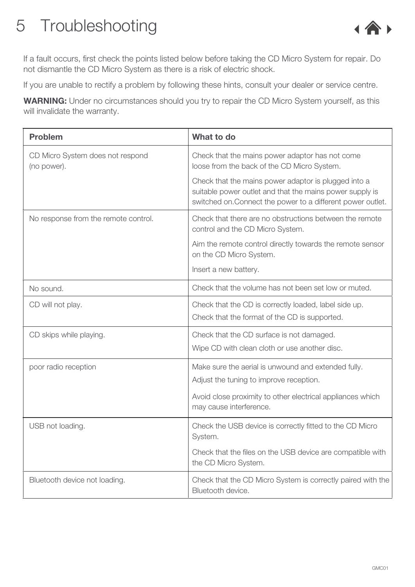# <span id="page-11-0"></span>5 Troubleshooting



If a fault occurs, first check the points listed below before taking the CD Micro System for repair. Do not dismantle the CD Micro System as there is a risk of electric shock.

If you are unable to rectify a problem by following these hints, consult your dealer or service centre.

WARNING: Under no circumstances should you try to repair the CD Micro System yourself, as this will invalidate the warranty.

| <b>Problem</b>                                  | What to do                                                                                                                                                                      |
|-------------------------------------------------|---------------------------------------------------------------------------------------------------------------------------------------------------------------------------------|
| CD Micro System does not respond<br>(no power). | Check that the mains power adaptor has not come<br>loose from the back of the CD Micro System.                                                                                  |
|                                                 | Check that the mains power adaptor is plugged into a<br>suitable power outlet and that the mains power supply is<br>switched on. Connect the power to a different power outlet. |
| No response from the remote control.            | Check that there are no obstructions between the remote<br>control and the CD Micro System.                                                                                     |
|                                                 | Aim the remote control directly towards the remote sensor<br>on the CD Micro System.                                                                                            |
|                                                 | Insert a new battery.                                                                                                                                                           |
| No sound.                                       | Check that the volume has not been set low or muted.                                                                                                                            |
| CD will not play.                               | Check that the CD is correctly loaded, label side up.<br>Check that the format of the CD is supported.                                                                          |
| CD skips while playing.                         | Check that the CD surface is not damaged.<br>Wipe CD with clean cloth or use another disc.                                                                                      |
| poor radio reception                            | Make sure the aerial is unwound and extended fully.<br>Adjust the tuning to improve reception.                                                                                  |
|                                                 | Avoid close proximity to other electrical appliances which<br>may cause interference.                                                                                           |
| USB not loading.                                | Check the USB device is correctly fitted to the CD Micro<br>System.                                                                                                             |
|                                                 | Check that the files on the USB device are compatible with<br>the CD Micro System.                                                                                              |
| Bluetooth device not loading.                   | Check that the CD Micro System is correctly paired with the<br>Bluetooth device.                                                                                                |